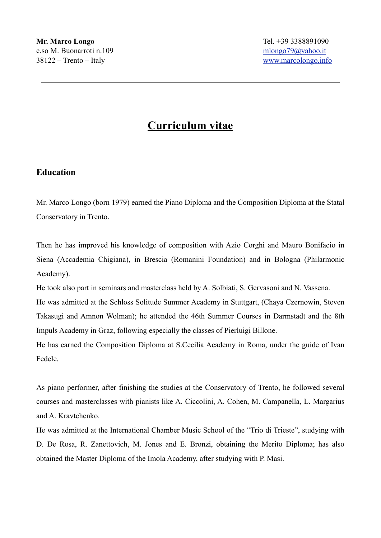# **Curriculum vitae**

## **Education**

Mr. Marco Longo (born 1979) earned the Piano Diploma and the Composition Diploma at the Statal Conservatory in Trento.

Then he has improved his knowledge of composition with Azio Corghi and Mauro Bonifacio in Siena (Accademia Chigiana), in Brescia (Romanini Foundation) and in Bologna (Philarmonic Academy).

He took also part in seminars and masterclass held by A. Solbiati, S. Gervasoni and N. Vassena.

He was admitted at the Schloss Solitude Summer Academy in Stuttgart, (Chaya Czernowin, Steven Takasugi and Amnon Wolman); he attended the 46th Summer Courses in Darmstadt and the 8th Impuls Academy in Graz, following especially the classes of Pierluigi Billone.

He has earned the Composition Diploma at S.Cecilia Academy in Roma, under the guide of Ivan Fedele.

As piano performer, after finishing the studies at the Conservatory of Trento, he followed several courses and masterclasses with pianists like A. Ciccolini, A. Cohen, M. Campanella, L. Margarius and A. Kravtchenko.

He was admitted at the International Chamber Music School of the "Trio di Trieste", studying with D. De Rosa, R. Zanettovich, M. Jones and E. Bronzi, obtaining the Merito Diploma; has also obtained the Master Diploma of the Imola Academy, after studying with P. Masi.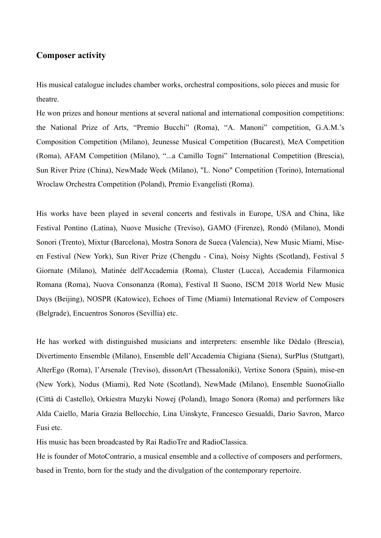## **Composer activity**

His musical catalogue includes chamber works, orchestral compositions, solo pieces and music for theatre.

He won prizes and honour mentions at several national and international composition competitions: the National Prize of Arts, "Premio Bucchi" (Roma), "A. Manoni" competition, G.A.M.'s Composition Competition (Milano), Jeunesse Musical Competition (Bucarest), MeA Competition (Roma), AFAM Competition (Milano), "...a Camillo Togni" International Competition (Brescia), Sun River Prize (China), NewMade Week (Milano), "L. Nono" Competition (Torino), International Wroclaw Orchestra Competition (Poland), Premio Evangelisti (Roma).

His works have been played in several concerts and festivals in Europe, USA and China, like Festival Pontino (Latina), Nuove Musiche (Treviso), GAMO (Firenze), Rondò (Milano), Mondi Sonori (Trento), Mixtur (Barcelona), Mostra Sonora de Sueca (Valencia), New Music Miami, Miseen Festival (New York), Sun River Prize (Chengdu - Cina), Noisy Nights (Scotland), Festival 5 Giornate (Milano), Matinée dell'Accademia (Roma), Cluster (Lucca), Accademia Filarmonica Romana (Roma), Nuova Consonanza (Roma), Festival Il Suono, ISCM 2018 World New Music Days (Beijing), NOSPR (Katowice), Echoes of Time (Miami) International Review of Composers (Belgrade), Encuentros Sonoros (Sevillia) etc.

He has worked with distinguished musicians and interpreters: ensemble like Dèdalo (Brescia), Divertimento Ensemble (Milano), Ensemble dell'Accademia Chigiana (Siena), SurPlus (Stuttgart), AlterEgo (Roma), l'Arsenale (Treviso), dissonArt (Thessaloniki), Vertixe Sonora (Spain), mise-en (New York), Nodus (Miami), Red Note (Scotland), NewMade (Milano), Ensemble SuonoGiallo (Città di Castello), Orkiestra Muzyki Nowej (Poland), Imago Sonora (Roma) and performers like Alda Caiello, Maria Grazia Bellocchio, Lina Uinskyte, Francesco Gesualdi, Dario Savron, Marco Fusi etc.

His music has been broadcasted by Rai RadioTre and RadioClassica.

He is founder of MotoContrario, a musical ensemble and a collective of composers and performers, based in Trento, born for the study and the divulgation of the contemporary repertoire.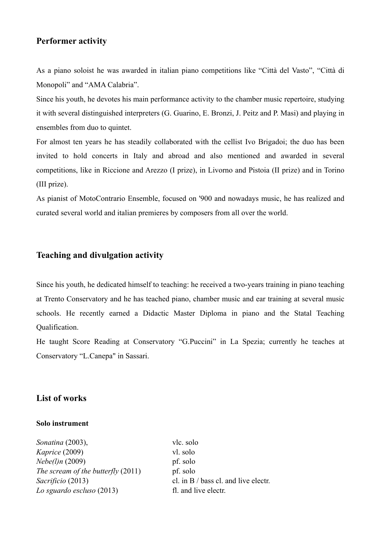## **Performer activity**

As a piano soloist he was awarded in italian piano competitions like "Città del Vasto", "Città di Monopoli" and "AMA Calabria".

Since his youth, he devotes his main performance activity to the chamber music repertoire, studying it with several distinguished interpreters (G. Guarino, E. Bronzi, J. Peitz and P. Masi) and playing in ensembles from duo to quintet.

For almost ten years he has steadily collaborated with the cellist Ivo Brigadoi; the duo has been invited to hold concerts in Italy and abroad and also mentioned and awarded in several competitions, like in Riccione and Arezzo (I prize), in Livorno and Pistoia (II prize) and in Torino (III prize).

As pianist of MotoContrario Ensemble, focused on '900 and nowadays music, he has realized and curated several world and italian premieres by composers from all over the world.

## **Teaching and divulgation activity**

Since his youth, he dedicated himself to teaching: he received a two-years training in piano teaching at Trento Conservatory and he has teached piano, chamber music and ear training at several music schools. He recently earned a Didactic Master Diploma in piano and the Statal Teaching Qualification.

He taught Score Reading at Conservatory "G.Puccini" in La Spezia; currently he teaches at Conservatory "L.Canepa" in Sassari.

## **List of works**

#### **Solo instrument**

*Sonatina* (2003), vlc. solo *Kaprice* (2009) vl. solo *Nebe(l)n* (2009) pf. solo *The scream of the butterfly* (2011) pf. solo *Sacrificio* (2013) cl. in B / bass cl. and live electr. *Lo sguardo escluso* (2013) fl. and live electr.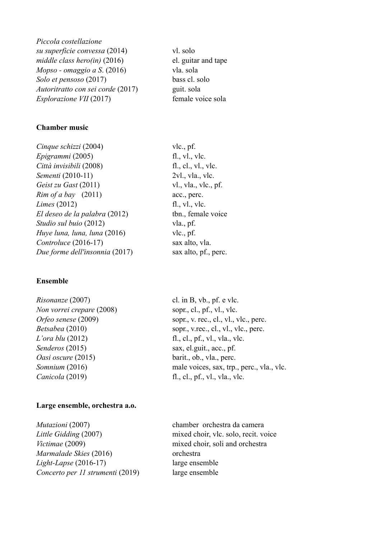*Piccola costellazione su superficie convessa* (2014) vl. solo *middle class hero(in)* (2016) el. guitar and tape *Mopso - omaggio a S*. (2016) vla. sola *Solo et pensoso* (2017) bass cl. solo *Autoritratto con sei corde* (2017) guit. sola *Esplorazione VII* (2017) female voice sola

#### **Chamber music**

*Cinque schizzi* (2004) vlc., pf. *Epigrammi* (2005) fl., vl., vlc. *Città invisibili* (2008) fl., cl., vl., vlc. *Sementi* (2010-11) 2vl., vla., vlc. *Geist zu Gast* (2011) vl., vla., vlc., pf. *Rim of a bay* (2011) acc., perc. *Limes* (2012) fl., vl., vlc. *El deseo de la palabra* (2012) tbn., female voice *Studio sul buio* (2012) vla., pf. *Huye luna, luna, luna* (2016) vlc., pf. *Controluce* (2016-17) sax alto, vla. *Due forme dell'insonnia* (2017) sax alto, pf., perc.

#### **Ensemble**

*Risonanze* (2007) cl. in B, vb., pf. e vlc. *Non vorrei crepare* (2008) sopr., cl., pf., vl., vlc. *Orfeo senese* (2009) sopr., v. rec., cl., vl., vlc., perc. *Betsabea* (2010) sopr., v.rec., cl., vl., vlc., perc. *L'ora blu* (2012) fl., cl., pf., vl., vla., vlc. *Senderos* (2015) sax, el.guit., acc., pf. *Oasi oscure* (2015) barit., ob., vla., perc. *Somnium* (2016) male voices, sax, trp., perc., vla., vlc. *Canicola* (2019) fl., cl., pf., vl., vla., vlc.

#### **Large ensemble, orchestra a.o.**

*Mutazioni* (2007) chamber orchestra da camera *Little Gidding* (2007) mixed choir, vlc. solo, recit. voice *Victimae* (2009) mixed choir, soli and orchestra *Marmalade Skies* (2016) orchestra *Light-Lapse* (2016-17) large ensemble *Concerto per 11 strumenti* (2019) large ensemble

- 
- 
-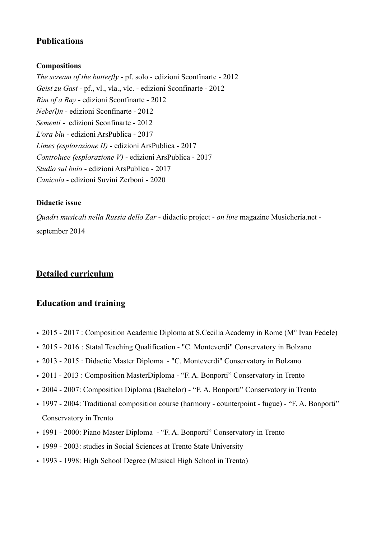## **Publications**

## **Compositions**

*The scream of the butterfly* - pf. solo - edizioni Sconfinarte - 2012 *Geist zu Gast* - pf., vl., vla., vlc. - edizioni Sconfinarte - 2012 *Rim of a Bay* - edizioni Sconfinarte - 2012 *Nebe(l)n* - edizioni Sconfinarte - 2012 *Sementi* - edizioni Sconfinarte - 2012 *L'ora blu* - edizioni ArsPublica - 2017 *Limes (esplorazione II)* - edizioni ArsPublica - 2017 *Controluce (esplorazione V)* - edizioni ArsPublica - 2017 *Studio sul buio* - edizioni ArsPublica - 2017 *Canicola* - edizioni Suvini Zerboni - 2020

## **Didactic issue**

*Quadri musicali nella Russia dello Zar* - didactic project - *on line* magazine Musicheria.net september 2014

## **Detailed curriculum**

## **Education and training**

- 2015 2017 : Composition Academic Diploma at S.Cecilia Academy in Rome (M° Ivan Fedele)
- 2015 2016 : Statal Teaching Qualification "C. Monteverdi" Conservatory in Bolzano
- 2013 2015 : Didactic Master Diploma "C. Monteverdi" Conservatory in Bolzano
- 2011 2013 : Composition MasterDiploma "F. A. Bonporti" Conservatory in Trento
- 2004 2007: Composition Diploma (Bachelor) "F. A. Bonporti" Conservatory in Trento
- 1997 2004: Traditional composition course (harmony counterpoint fugue) "F. A. Bonporti" Conservatory in Trento
- 1991 2000: Piano Master Diploma "F. A. Bonporti" Conservatory in Trento
- 1999 2003: studies in Social Sciences at Trento State University
- 1993 1998: High School Degree (Musical High School in Trento)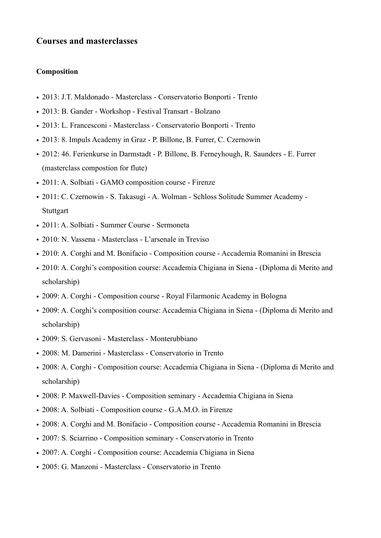#### **Courses and masterclasses**

#### **Composition**

- 2013: J.T. Maldonado Masterclass Conservatorio Bonporti Trento
- 2013: B. Gander Workshop Festival Transart Bolzano
- 2013: L. Francesconi Masterclass Conservatorio Bonporti Trento
- 2013: 8. Impuls Academy in Graz P. Billone, B. Furrer, C. Czernowin
- 2012: 46. Ferienkurse in Darmstadt P. Billone, B. Ferneyhough, R. Saunders E. Furrer (masterclass compostion for flute)
- 2011: A. Solbiati GAMO composition course Firenze
- 2011: C. Czernowin S. Takasugi A. Wolman Schloss Solitude Summer Academy **Stuttgart**
- 2011: A. Solbiati Summer Course Sermoneta
- 2010: N. Vassena Masterclass L'arsenale in Treviso
- 2010: A. Corghi and M. Bonifacio Composition course Accademia Romanini in Brescia
- 2010: A. Corghi's composition course: Accademia Chigiana in Siena (Diploma di Merito and scholarship)
- 2009: A. Corghi Composition course Royal Filarmonic Academy in Bologna
- 2009: A. Corghi's composition course: Accademia Chigiana in Siena (Diploma di Merito and scholarship)
- 2009: S. Gervasoni Masterclass Monterubbiano
- 2008: M. Damerini Masterclass Conservatorio in Trento
- 2008: A. Corghi Composition course: Accademia Chigiana in Siena (Diploma di Merito and scholarship)
- 2008: P. Maxwell-Davies Composition seminary Accademia Chigiana in Siena
- 2008: A. Solbiati Composition course G.A.M.O. in Firenze
- 2008: A. Corghi and M. Bonifacio Composition course Accademia Romanini in Brescia
- 2007: S. Sciarrino Composition seminary Conservatorio in Trento
- 2007: A. Corghi Composition course: Accademia Chigiana in Siena
- 2005: G. Manzoni Masterclass Conservatorio in Trento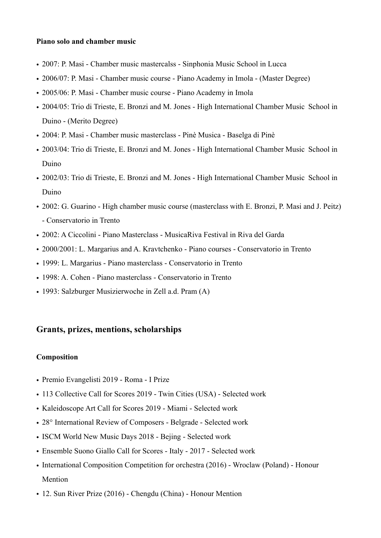#### **Piano solo and chamber music**

- 2007: P. Masi Chamber music mastercalss Sinphonia Music School in Lucca
- 2006/07: P. Masi Chamber music course Piano Academy in Imola (Master Degree)
- 2005/06: P. Masi Chamber music course Piano Academy in Imola
- 2004/05: Trio di Trieste, E. Bronzi and M. Jones High International Chamber Music School in Duino - (Merito Degree)
- 2004: P. Masi Chamber music masterclass Pinè Musica Baselga di Pinè
- 2003/04: Trio di Trieste, E. Bronzi and M. Jones High International Chamber Music School in Duino
- 2002/03: Trio di Trieste, E. Bronzi and M. Jones High International Chamber Music School in Duino
- 2002: G. Guarino High chamber music course (masterclass with E. Bronzi, P. Masi and J. Peitz) - Conservatorio in Trento
- 2002: A Ciccolini Piano Masterclass MusicaRiva Festival in Riva del Garda
- 2000/2001: L. Margarius and A. Kravtchenko Piano courses Conservatorio in Trento
- 1999: L. Margarius Piano masterclass Conservatorio in Trento
- 1998: A. Cohen Piano masterclass Conservatorio in Trento
- 1993: Salzburger Musizierwoche in Zell a.d. Pram (A)

## **Grants, prizes, mentions, scholarships**

#### **Composition**

- Premio Evangelisti 2019 Roma I Prize
- 113 Collective Call for Scores 2019 Twin Cities (USA) Selected work
- Kaleidoscope Art Call for Scores 2019 Miami Selected work
- 28° International Review of Composers Belgrade Selected work
- ISCM World New Music Days 2018 Bejing Selected work
- Ensemble Suono Giallo Call for Scores Italy 2017 Selected work
- International Composition Competition for orchestra (2016) Wroclaw (Poland) Honour Mention
- 12. Sun River Prize (2016) Chengdu (China) Honour Mention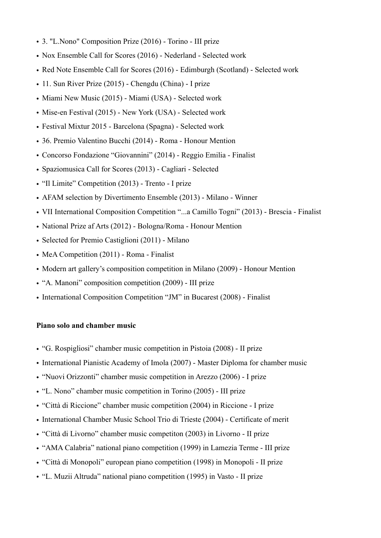- 3. "L.Nono" Composition Prize (2016) Torino III prize
- Nox Ensemble Call for Scores (2016) Nederland Selected work
- Red Note Ensemble Call for Scores (2016) Edimburgh (Scotland) Selected work
- 11. Sun River Prize (2015) Chengdu (China) I prize
- Miami New Music (2015) Miami (USA) Selected work
- Mise-en Festival (2015) New York (USA) Selected work
- Festival Mixtur 2015 Barcelona (Spagna) Selected work
- 36. Premio Valentino Bucchi (2014) Roma Honour Mention
- Concorso Fondazione "Giovannini" (2014) Reggio Emilia Finalist
- Spaziomusica Call for Scores (2013) Cagliari Selected
- "Il Limite" Competition (2013) Trento I prize
- AFAM selection by Divertimento Ensemble (2013) Milano Winner
- VII International Composition Competition "...a Camillo Togni" (2013) Brescia Finalist
- National Prize af Arts (2012) Bologna/Roma Honour Mention
- Selected for Premio Castiglioni (2011) Milano
- MeA Competition (2011) Roma Finalist
- Modern art gallery's composition competition in Milano (2009) Honour Mention
- "A. Manoni" composition competition (2009) III prize
- International Composition Competition "JM" in Bucarest (2008) Finalist

#### **Piano solo and chamber music**

- "G. Rospigliosi" chamber music competition in Pistoia (2008) II prize
- International Pianistic Academy of Imola (2007) Master Diploma for chamber music
- "Nuovi Orizzonti" chamber music competition in Arezzo (2006) I prize
- "L. Nono" chamber music competition in Torino (2005) III prize
- "Città di Riccione" chamber music competition (2004) in Riccione I prize
- International Chamber Music School Trio di Trieste (2004) Certificate of merit
- "Città di Livorno" chamber music competiton (2003) in Livorno II prize
- "AMA Calabria" national piano competition (1999) in Lamezia Terme III prize
- "Città di Monopoli" european piano competition (1998) in Monopoli II prize
- "L. Muzii Altruda" national piano competition (1995) in Vasto II prize